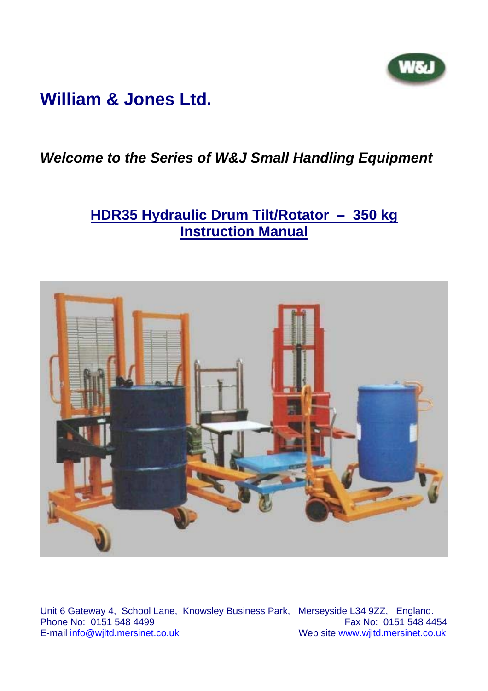# **William & Jones Ltd.**

## *Welcome to the Series of W&J Small Handling Equipment*

## **HDR35 Hydraulic Drum Tilt/Rotator – 350 kg Instruction Manual**



Unit 6 Gateway 4, School Lane, Knowsley Business Park, Merseyside L34 9ZZ, England. Phone No:  $0151$  548 4499<br>E-mail info@wiltd.mersinet.co.uk Web site www.wjltd.mersinet.co.uk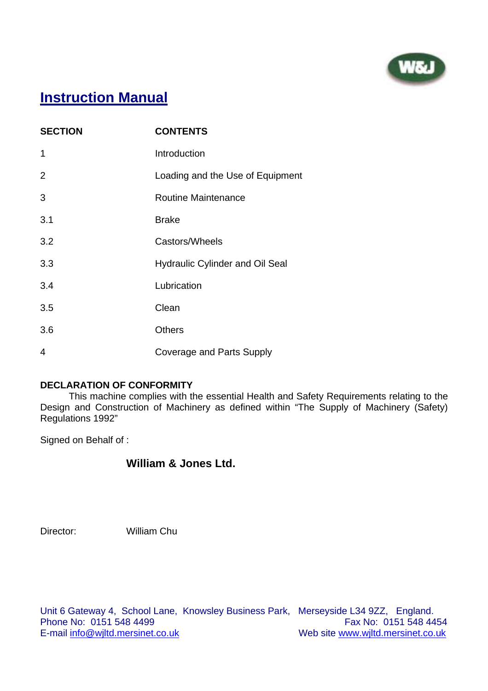

## **Instruction Manual**

| <b>SECTION</b> | <b>CONTENTS</b>                        |  |
|----------------|----------------------------------------|--|
| 1              | Introduction                           |  |
| $\overline{2}$ | Loading and the Use of Equipment       |  |
| 3              | <b>Routine Maintenance</b>             |  |
| 3.1            | <b>Brake</b>                           |  |
| 3.2            | Castors/Wheels                         |  |
| 3.3            | <b>Hydraulic Cylinder and Oil Seal</b> |  |
| 3.4            | Lubrication                            |  |
| 3.5            | Clean                                  |  |
| 3.6            | <b>Others</b>                          |  |
| 4              | <b>Coverage and Parts Supply</b>       |  |

#### **DECLARATION OF CONFORMITY**

 This machine complies with the essential Health and Safety Requirements relating to the Design and Construction of Machinery as defined within "The Supply of Machinery (Safety) Regulations 1992"

Signed on Behalf of :

### **William & Jones Ltd.**

Director: William Chu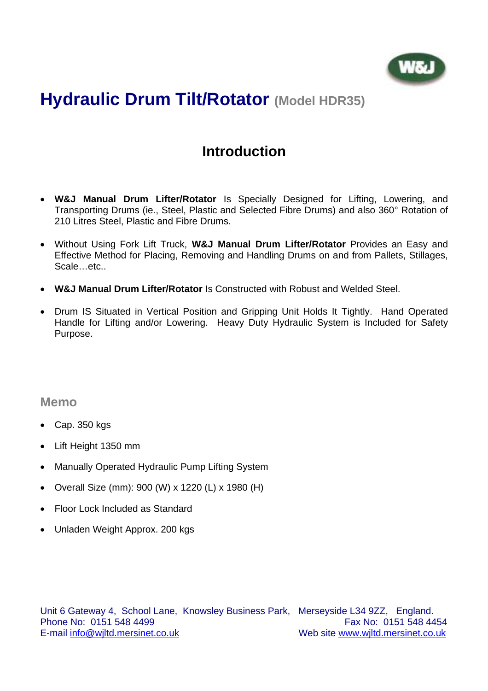

# **Hydraulic Drum Tilt/Rotator (Model HDR35)**

## **Introduction**

- **W&J Manual Drum Lifter/Rotator** Is Specially Designed for Lifting, Lowering, and Transporting Drums (ie., Steel, Plastic and Selected Fibre Drums) and also 360° Rotation of 210 Litres Steel, Plastic and Fibre Drums.
- Without Using Fork Lift Truck, **W&J Manual Drum Lifter/Rotator** Provides an Easy and Effective Method for Placing, Removing and Handling Drums on and from Pallets, Stillages, Scale…etc..
- **W&J Manual Drum Lifter/Rotator** Is Constructed with Robust and Welded Steel.
- Drum IS Situated in Vertical Position and Gripping Unit Holds It Tightly. Hand Operated Handle for Lifting and/or Lowering. Heavy Duty Hydraulic System is Included for Safety Purpose.

### **Memo**

- Cap. 350 kgs
- Lift Height 1350 mm
- Manually Operated Hydraulic Pump Lifting System
- Overall Size (mm): 900 (W) x 1220 (L) x 1980 (H)
- Floor Lock Included as Standard
- Unladen Weight Approx. 200 kgs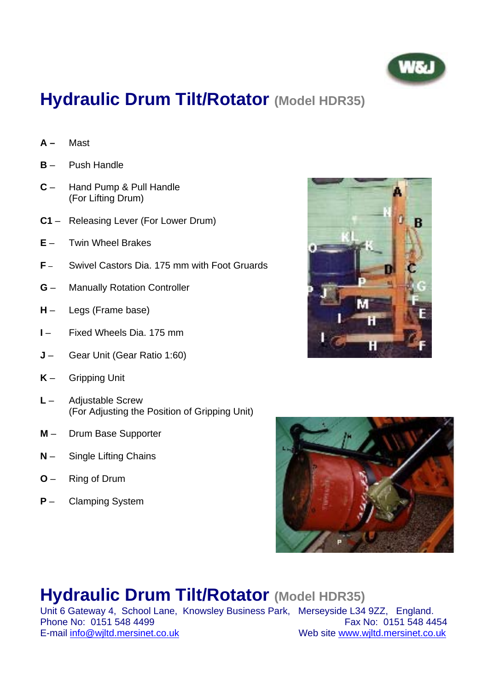

# **Hydraulic Drum Tilt/Rotator (Model HDR35)**

- **A** Mast
- **B** Push Handle
- **C** Hand Pump & Pull Handle (For Lifting Drum)
- **C1**  Releasing Lever (For Lower Drum)
- **E** Twin Wheel Brakes
- **F** Swivel Castors Dia. 175 mm with Foot Gruards
- **G** Manually Rotation Controller
- **H** Legs (Frame base)
- **I** Fixed Wheels Dia. 175 mm
- **J** Gear Unit (Gear Ratio 1:60)
- **K** Gripping Unit
- **L** Adjustable Screw (For Adjusting the Position of Gripping Unit)
- **M** Drum Base Supporter
- **N** Single Lifting Chains
- **O** Ring of Drum
- **P**  Clamping System





# **Hydraulic Drum Tilt/Rotator (Model HDR35)**

Unit 6 Gateway 4, School Lane, Knowsley Business Park, Merseyside L34 9ZZ, England. Phone No: 0151 548 4499<br>
E-mail info@wiltd.mersinet.co.uk<br>
Web site www.wiltd.mersinet.co.uk Web site www.wjltd.mersinet.co.uk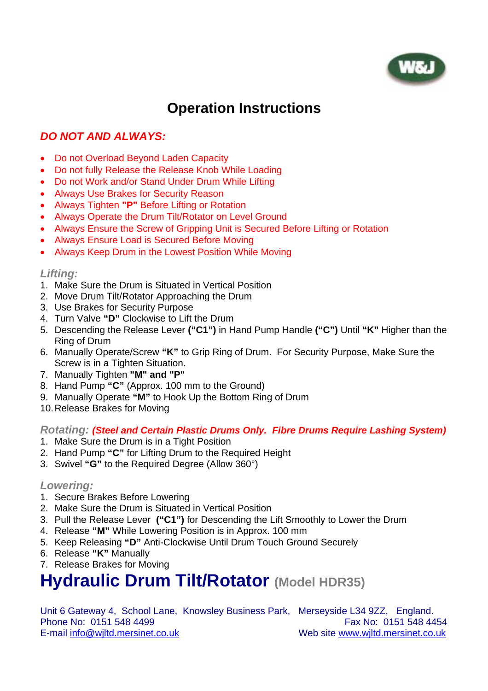

## **Operation Instructions**

### *DO NOT AND ALWAYS:*

- Do not Overload Beyond Laden Capacity
- Do not fully Release the Release Knob While Loading
- Do not Work and/or Stand Under Drum While Lifting
- Always Use Brakes for Security Reason
- Always Tighten **"P"** Before Lifting or Rotation
- Always Operate the Drum Tilt/Rotator on Level Ground
- Always Ensure the Screw of Gripping Unit is Secured Before Lifting or Rotation
- Always Ensure Load is Secured Before Moving
- Always Keep Drum in the Lowest Position While Moving

#### *Lifting:*

- 1. Make Sure the Drum is Situated in Vertical Position
- 2. Move Drum Tilt/Rotator Approaching the Drum
- 3. Use Brakes for Security Purpose
- 4. Turn Valve **"D"** Clockwise to Lift the Drum
- 5. Descending the Release Lever **("C1")** in Hand Pump Handle **("C")** Until **"K"** Higher than the Ring of Drum
- 6. Manually Operate/Screw **"K"** to Grip Ring of Drum. For Security Purpose, Make Sure the Screw is in a Tighten Situation.
- 7. Manually Tighten **"M" and "P"**
- 8. Hand Pump **"C"** (Approx. 100 mm to the Ground)
- 9. Manually Operate **"M"** to Hook Up the Bottom Ring of Drum
- 10. Release Brakes for Moving

*Rotating: (Steel and Certain Plastic Drums Only. Fibre Drums Require Lashing System)*

- 1. Make Sure the Drum is in a Tight Position
- 2. Hand Pump **"C"** for Lifting Drum to the Required Height
- 3. Swivel **"G"** to the Required Degree (Allow 360°)

#### *Lowering:*

- 1. Secure Brakes Before Lowering
- 2. Make Sure the Drum is Situated in Vertical Position
- 3. Pull the Release Lever **("C1")** for Descending the Lift Smoothly to Lower the Drum
- 4. Release **"M"** While Lowering Position is in Approx. 100 mm
- 5. Keep Releasing **"D"** Anti-Clockwise Until Drum Touch Ground Securely
- 6. Release **"K"** Manually
- 7. Release Brakes for Moving

# **Hydraulic Drum Tilt/Rotator (Model HDR35)**

|                                  | Unit 6 Gateway 4, School Lane, Knowsley Business Park, Merseyside L34 9ZZ, England. |
|----------------------------------|-------------------------------------------------------------------------------------|
| Phone No: 0151 548 4499          | Fax No: 0151 548 4454                                                               |
| E-mail info@wiltd.mersinet.co.uk | Web site www.wiltd.mersinet.co.uk                                                   |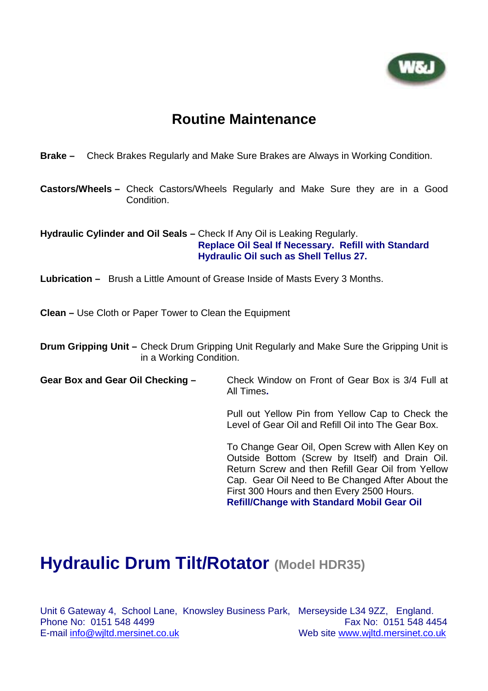

### **Routine Maintenance**

#### **Brake –** Check Brakes Regularly and Make Sure Brakes are Always in Working Condition.

**Castors/Wheels –** Check Castors/Wheels Regularly and Make Sure they are in a Good Condition.

#### **Hydraulic Cylinder and Oil Seals –** Check If Any Oil is Leaking Regularly. **Replace Oil Seal If Necessary. Refill with Standard Hydraulic Oil such as Shell Tellus 27.**

**Lubrication –** Brush a Little Amount of Grease Inside of Masts Every 3 Months.

**Clean –** Use Cloth or Paper Tower to Clean the Equipment

**Drum Gripping Unit –** Check Drum Gripping Unit Regularly and Make Sure the Gripping Unit is in a Working Condition.

#### **Gear Box and Gear Oil Checking –** Check Window on Front of Gear Box is 3/4 Full at All Times**.**

 Pull out Yellow Pin from Yellow Cap to Check the Level of Gear Oil and Refill Oil into The Gear Box.

 To Change Gear Oil, Open Screw with Allen Key on Outside Bottom (Screw by Itself) and Drain Oil. Return Screw and then Refill Gear Oil from Yellow Cap. Gear Oil Need to Be Changed After About the First 300 Hours and then Every 2500 Hours.

**Refill/Change with Standard Mobil Gear Oil** 

## **Hydraulic Drum Tilt/Rotator (Model HDR35)**

Unit 6 Gateway 4, School Lane, Knowsley Business Park, Merseyside L34 9ZZ, England. Phone No: 0151 548 4499 **Fax No: 0151 548 4454** E-mail info@wjltd.mersinet.co.uk Web site www.wjltd.mersinet.co.uk